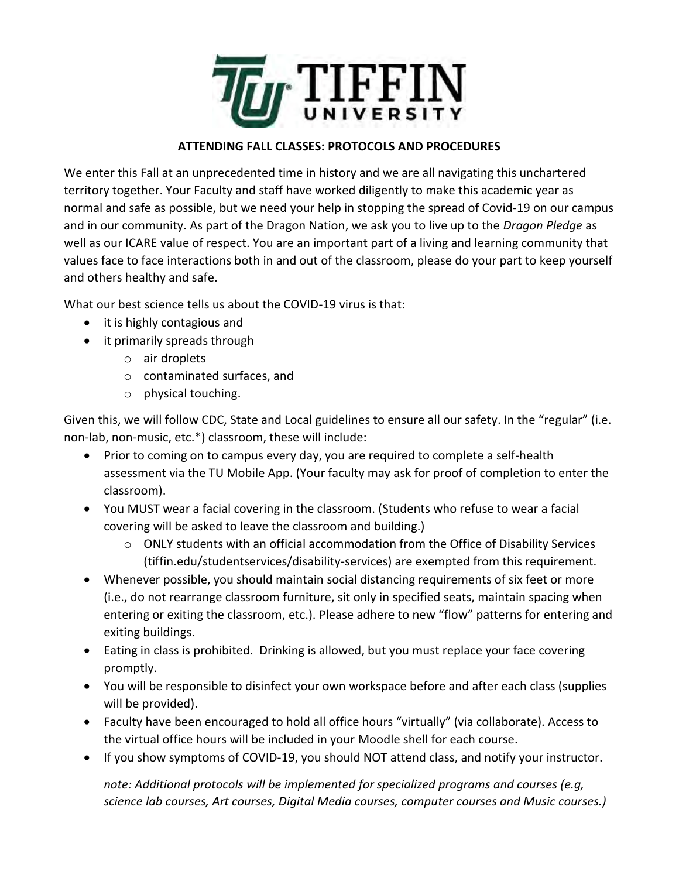

## **ATTENDING FALL CLASSES: PROTOCOLS AND PROCEDURES**

We enter this Fall at an unprecedented time in history and we are all navigating this unchartered territory together. Your Faculty and staff have worked diligently to make this academic year as normal and safe as possible, but we need your help in stopping the spread of Covid-19 on our campus and in our community. As part of the Dragon Nation, we ask you to live up to the *Dragon Pledge* as well as our ICARE value of respect. You are an important part of a living and learning community that values face to face interactions both in and out of the classroom, please do your part to keep yourself and others healthy and safe.

What our best science tells us about the COVID-19 virus is that:

- it is highly contagious and
- it primarily spreads through
	- o air droplets
	- o contaminated surfaces, and
	- o physical touching.

Given this, we will follow CDC, State and Local guidelines to ensure all our safety. In the "regular" (i.e. non-lab, non-music, etc.\*) classroom, these will include:

- Prior to coming on to campus every day, you are required to complete a self-health assessment via the TU Mobile App. (Your faculty may ask for proof of completion to enter the classroom).
- You MUST wear a facial covering in the classroom. (Students who refuse to wear a facial covering will be asked to leave the classroom and building.)
	- $\circ$  ONLY students with an official accommodation from the Office of Disability Services (tiffin.edu/studentservices/disability-services) are exempted from this requirement.
- Whenever possible, you should maintain social distancing requirements of six feet or more (i.e., do not rearrange classroom furniture, sit only in specified seats, maintain spacing when entering or exiting the classroom, etc.). Please adhere to new "flow" patterns for entering and exiting buildings.
- Eating in class is prohibited. Drinking is allowed, but you must replace your face covering promptly.
- You will be responsible to disinfect your own workspace before and after each class (supplies will be provided).
- Faculty have been encouraged to hold all office hours "virtually" (via collaborate). Access to the virtual office hours will be included in your Moodle shell for each course.
- If you show symptoms of COVID-19, you should NOT attend class, and notify your instructor.

*note: Additional protocols will be implemented for specialized programs and courses (e.g, science lab courses, Art courses, Digital Media courses, computer courses and Music courses.)*